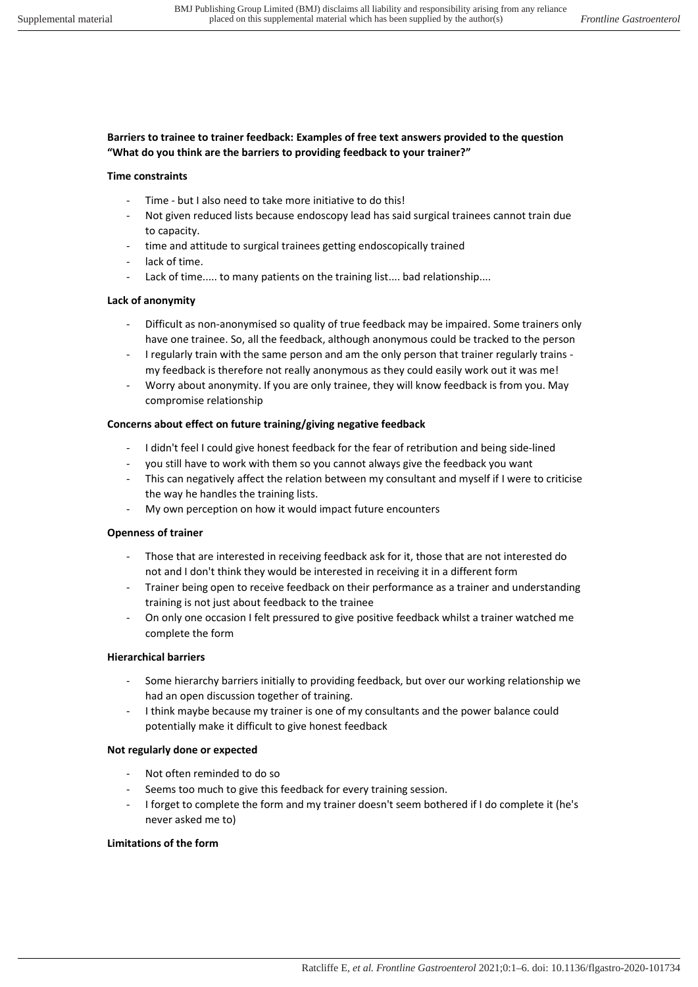# **Barriers to trainee to trainer feedback: Examples of free text answers provided to the question "What do you think are the barriers to providing feedback to your trainer?"**

### **Time constraints**

- Time but I also need to take more initiative to do this!
- Not given reduced lists because endoscopy lead has said surgical trainees cannot train due to capacity.
- time and attitude to surgical trainees getting endoscopically trained
- lack of time.
- Lack of time..... to many patients on the training list.... bad relationship....

# **Lack of anonymity**

- Difficult as non-anonymised so quality of true feedback may be impaired. Some trainers only have one trainee. So, all the feedback, although anonymous could be tracked to the person
- I regularly train with the same person and am the only person that trainer regularly trains my feedback is therefore not really anonymous as they could easily work out it was me!
- Worry about anonymity. If you are only trainee, they will know feedback is from you. May compromise relationship

### **Concerns about effect on future training/giving negative feedback**

- I didn't feel I could give honest feedback for the fear of retribution and being side-lined
- you still have to work with them so you cannot always give the feedback you want
- This can negatively affect the relation between my consultant and myself if I were to criticise the way he handles the training lists.
- My own perception on how it would impact future encounters

## **Openness of trainer**

- Those that are interested in receiving feedback ask for it, those that are not interested do not and I don't think they would be interested in receiving it in a different form
- Trainer being open to receive feedback on their performance as a trainer and understanding training is not just about feedback to the trainee
- On only one occasion I felt pressured to give positive feedback whilst a trainer watched me complete the form

### **Hierarchical barriers**

- Some hierarchy barriers initially to providing feedback, but over our working relationship we had an open discussion together of training.
- I think maybe because my trainer is one of my consultants and the power balance could potentially make it difficult to give honest feedback

### **Not regularly done or expected**

- Not often reminded to do so
- Seems too much to give this feedback for every training session.
- I forget to complete the form and my trainer doesn't seem bothered if I do complete it (he's never asked me to)

### **Limitations of the form**